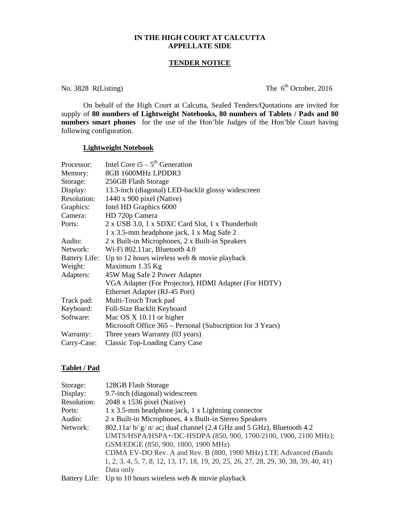## **IN THE HIGH COURT AT CALCUTTA APPELLATE SIDE**

### **TENDER NOTICE**

No. 3828 R(Listing) The  $6<sup>th</sup>$  October, 2016

 On behalf of the High Court at Calcutta, Sealed Tenders/Quotations are invited for supply of **80 numbers of Lightweight Notebooks, 80 numbers of Tablets / Pads and 80 numbers smart phones** for the use of the Hon'ble Judges of the Hon'ble Court having following configuration.

## **Lightweight Notebook**

| Processor:  | Intel Core i5 – $5th$ Generation                           |
|-------------|------------------------------------------------------------|
| Memory:     | 8GB 1600MHz LPDDR3                                         |
| Storage:    | 256GB Flash Storage                                        |
| Display:    | 13.3-inch (diagonal) LED-backlit glossy widescreen         |
| Resolution: | $1440 \times 900$ pixel (Native)                           |
| Graphics:   | Intel HD Graphics 6000                                     |
| Camera:     | HD 720p Camera                                             |
| Ports:      | 2 x USB 3.0, 1 x SDXC Card Slot, 1 x Thunderbolt           |
|             | 1 x 3.5-mm headphone jack, 1 x Mag Safe 2                  |
| Audio:      | 2 x Built-in Microphones, 2 x Built-in Speakers            |
| Network:    | Wi-Fi 802.11ac, Bluetooth 4.0                              |
|             | Battery Life: Up to 12 hours wireless web & movie playback |
| Weight:     | Maximum 1.35 Kg                                            |
| Adapters:   | 45W Mag Safe 2 Power Adapter                               |
|             | VGA Adapter (For Projector), HDMI Adapter (For HDTV)       |
|             | Ethernet Adapter (RJ-45 Port)                              |
| Track pad:  | Multi-Touch Track pad                                      |
| Keyboard:   | Full-Size Backlit Keyboard                                 |
| Software:   | Mac OS X 10.11 or higher                                   |
|             | Microsoft Office 365 – Personal (Subscription for 3 Years) |
| Warranty:   | Three years Warranty (03 years)                            |
| Carry-Case: | <b>Classic Top-Loading Carry Case</b>                      |

#### **Tablet / Pad**

| Storage:    | 128GB Flash Storage                                                                  |
|-------------|--------------------------------------------------------------------------------------|
| Display:    | 9.7-inch (diagonal) widescreen                                                       |
| Resolution: | 2048 x 1536 pixel (Native)                                                           |
| Ports:      | 1 x 3.5-mm headphone jack, 1 x Lightning connector                                   |
| Audio:      | 2 x Built-in Microphones, 4 x Built-in Stereo Speakers                               |
| Network:    | $802.11a/\frac{b}{g}/\frac{n}{ac}$ ; dual channel (2.4 GHz and 5 GHz), Bluetooth 4.2 |
|             | UMTS/HSPA/HSPA+/DC-HSDPA (850, 900, 1700/2100, 1900, 2100 MHz);                      |
|             | GSM/EDGE (850, 900, 1800, 1900 MHz)                                                  |
|             | CDMA EV-DO Rev. A and Rev. B (800, 1900 MHz) LTE Advanced (Bands                     |
|             | 1, 2, 3, 4, 5, 7, 8, 12, 13, 17, 18, 19, 20, 25, 26, 27, 28, 29, 30, 38, 39, 40, 41) |
|             | Data only                                                                            |
|             | Battery Life: Up to 10 hours wireless web & movie playback                           |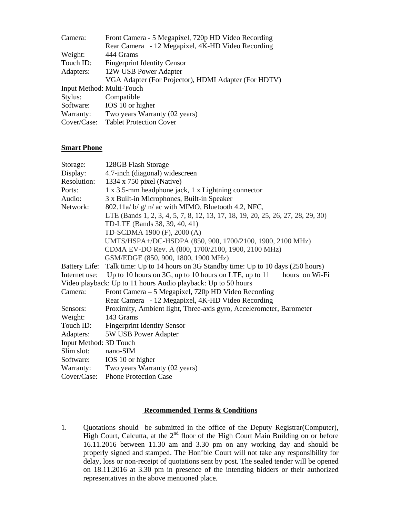| Camera:                   | Front Camera - 5 Megapixel, 720p HD Video Recording  |
|---------------------------|------------------------------------------------------|
|                           | Rear Camera - 12 Megapixel, 4K-HD Video Recording    |
| Weight:                   | 444 Grams                                            |
| Touch ID:                 | <b>Fingerprint Identity Censor</b>                   |
| Adapters:                 | 12W USB Power Adapter                                |
|                           | VGA Adapter (For Projector), HDMI Adapter (For HDTV) |
| Input Method: Multi-Touch |                                                      |
| Stylus:                   | Compatible                                           |
| Software:                 | IOS 10 or higher                                     |
| Warranty:                 | Two years Warranty (02 years)                        |
| Cover/Case:               | <b>Tablet Protection Cover</b>                       |

# **Smart Phone**

| Storage:               | 128GB Flash Storage                                                             |
|------------------------|---------------------------------------------------------------------------------|
| Display:               | 4.7-inch (diagonal) widescreen                                                  |
| Resolution:            | 1334 x 750 pixel (Native)                                                       |
| Ports:                 | 1 x 3.5-mm headphone jack, 1 x Lightning connector                              |
| Audio:                 | 3 x Built-in Microphones, Built-in Speaker                                      |
| Network:               | 802.11a/ b/ g/ n/ ac with MIMO, Bluetooth 4.2, NFC,                             |
|                        | LTE (Bands 1, 2, 3, 4, 5, 7, 8, 12, 13, 17, 18, 19, 20, 25, 26, 27, 28, 29, 30) |
|                        | TD-LTE (Bands 38, 39, 40, 41)                                                   |
|                        | TD-SCDMA 1900 (F), 2000 (A)                                                     |
|                        | UMTS/HSPA+/DC-HSDPA (850, 900, 1700/2100, 1900, 2100 MHz)                       |
|                        | CDMA EV-DO Rev. A (800, 1700/2100, 1900, 2100 MHz)                              |
|                        | GSM/EDGE (850, 900, 1800, 1900 MHz)                                             |
| <b>Battery Life:</b>   | Talk time: Up to 14 hours on 3G Standby time: Up to 10 days (250 hours)         |
| Internet use:          | Up to 10 hours on 3G, up to 10 hours on LTE, up to 11<br>hours on Wi-Fi         |
|                        | Video playback: Up to 11 hours Audio playback: Up to 50 hours                   |
| Camera:                | Front Camera – 5 Megapixel, 720p HD Video Recording                             |
|                        | Rear Camera - 12 Megapixel, 4K-HD Video Recording                               |
| Sensors:               | Proximity, Ambient light, Three-axis gyro, Accelerometer, Barometer             |
| Weight:                | 143 Grams                                                                       |
| Touch ID:              | <b>Fingerprint Identity Sensor</b>                                              |
| Adapters:              | 5W USB Power Adapter                                                            |
| Input Method: 3D Touch |                                                                                 |
| Slim slot:             | nano-SIM                                                                        |
| Software:              | IOS 10 or higher                                                                |
| Warranty:              | Two years Warranty (02 years)                                                   |
| Cover/Case:            | <b>Phone Protection Case</b>                                                    |

## **Recommended Terms & Conditions**

1. Quotations should be submitted in the office of the Deputy Registrar(Computer), High Court, Calcutta, at the  $2<sup>nd</sup>$  floor of the High Court Main Building on or before 16.11.2016 between 11.30 am and 3.30 pm on any working day and should be properly signed and stamped. The Hon'ble Court will not take any responsibility for delay, loss or non-receipt of quotations sent by post. The sealed tender will be opened on 18.11.2016 at 3.30 pm in presence of the intending bidders or their authorized representatives in the above mentioned place.